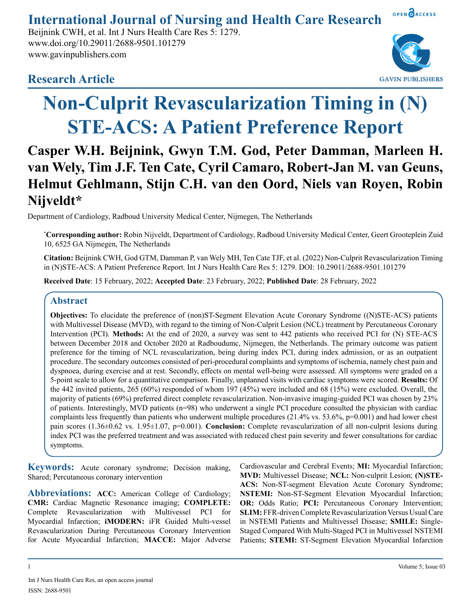OPEN OACCESS **International Journal of Nursing and Health Care Research**

Beijnink CWH, et al. Int J Nurs Health Care Res 5: 1279. www.doi.org/10.29011/2688-9501.101279 www.gavinpublishers.com

# **Research Article**



# **Non-Culprit Revascularization Timing in (N) STE-ACS: A Patient Preference Report**

# **Casper W.H. Beijnink, Gwyn T.M. God, Peter Damman, Marleen H. van Wely, Tim J.F. Ten Cate, Cyril Camaro, Robert-Jan M. van Geuns, Helmut Gehlmann, Stijn C.H. van den Oord, Niels van Royen, Robin Nijveldt\***

Department of Cardiology, Radboud University Medical Center, Nijmegen, The Netherlands

\* **Corresponding author:** Robin Nijveldt, Department of Cardiology, Radboud University Medical Center, Geert Grooteplein Zuid 10, 6525 GA Nijmegen, The Netherlands

**Citation:** Beijnink CWH, God GTM, Damman P, van Wely MH, Ten Cate TJF, et al. (2022) Non-Culprit Revascularization Timing in (N)STE-ACS: A Patient Preference Report. Int J Nurs Health Care Res 5: 1279. DOI: 10.29011/2688-9501.101279

**Received Date**: 15 February, 2022; **Accepted Date**: 23 February, 2022; **Published Date**: 28 February, 2022

# **Abstract**

**Objectives:** To elucidate the preference of (non)ST-Segment Elevation Acute Coronary Syndrome ((N)STE-ACS) patients with Multivessel Disease (MVD), with regard to the timing of Non-Culprit Lesion (NCL) treatment by Percutaneous Coronary Intervention (PCI). **Methods:** At the end of 2020, a survey was sent to 442 patients who received PCI for (N) STE-ACS between December 2018 and October 2020 at Radboudumc, Nijmegen, the Netherlands. The primary outcome was patient preference for the timing of NCL revascularization, being during index PCI, during index admission, or as an outpatient procedure. The secondary outcomes consisted of peri-procedural complaints and symptoms of ischemia, namely chest pain and dyspnoea, during exercise and at rest. Secondly, effects on mental well-being were assessed. All symptoms were graded on a 5-point scale to allow for a quantitative comparison. Finally, unplanned visits with cardiac symptoms were scored. **Results:** Of the 442 invited patients, 265 (60%) responded of whom 197 (45%) were included and 68 (15%) were excluded. Overall, the majority of patients (69%) preferred direct complete revascularization. Non-invasive imaging-guided PCI was chosen by 23% of patients. Interestingly, MVD patients  $(n=98)$  who underwent a single PCI procedure consulted the physician with cardiac complaints less frequently than patients who underwent multiple procedures (21.4% vs. 53.6%,  $p=0.001$ ) and had lower chest pain scores (1.36±0.62 vs. 1.95±1.07, p=0.001). **Conclusion:** Complete revascularization of all non-culprit lesions during index PCI was the preferred treatment and was associated with reduced chest pain severity and fewer consultations for cardiac symptoms.

**Keywords:** Acute coronary syndrome; Decision making, Shared; Percutaneous coronary intervention

Abbreviations: ACC: American College of Cardiology; **CMR:** Cardiac Magnetic Resonance imaging; **COMPLETE:** Complete Revascularization with Multivessel PCI for Myocardial Infarction; **iMODERN:** iFR Guided Multi-vessel Revascularization During Percutaneous Coronary Intervention for Acute Myocardial Infarction; **MACCE:** Major Adverse Cardiovascular and Cerebral Events; **MI:** Myocardial Infarction; **MVD:** Multivessel Disease; **NCL:** Non-culprit Lesion; **(N)STE-ACS:** Non-ST-segment Elevation Acute Coronary Syndrome; **NSTEMI:** Non-ST-Segment Elevation Myocardial Infarction; **OR:** Odds Ratio; **PCI:** Percutaneous Coronary Intervention; **SLIM:** FFR-driven Complete Revascularization Versus Usual Care in NSTEMI Patients and Multivessel Disease; **SMILE:** Single-Staged Compared With Multi-Staged PCI in Multivessel NSTEMI Patients; **STEMI:** ST-Segment Elevation Myocardial Infarction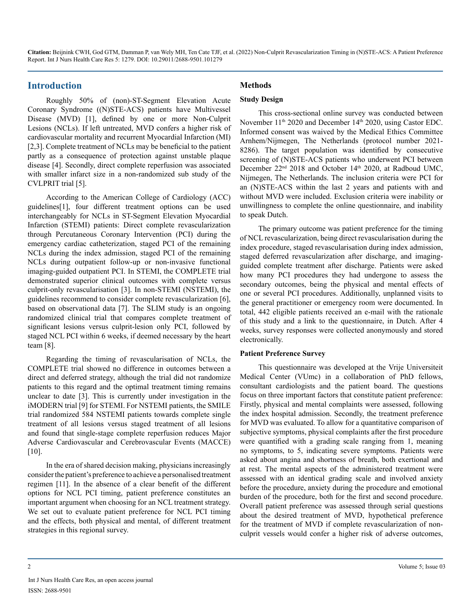#### **Introduction**

Roughly 50% of (non)-ST-Segment Elevation Acute Coronary Syndrome ((N)STE-ACS) patients have Multivessel Disease (MVD) [1], defined by one or more Non-Culprit Lesions (NCLs). If left untreated, MVD confers a higher risk of cardiovascular mortality and recurrent Myocardial Infarction (MI) [2,3]. Complete treatment of NCLs may be beneficial to the patient partly as a consequence of protection against unstable plaque disease [4]. Secondly, direct complete reperfusion was associated with smaller infarct size in a non-randomized sub study of the CVLPRIT trial [5].

According to the American College of Cardiology (ACC) guidelines[1], four different treatment options can be used interchangeably for NCLs in ST-Segment Elevation Myocardial Infarction (STEMI) patients: Direct complete revascularization through Percutaneous Coronary Intervention (PCI) during the emergency cardiac catheterization, staged PCI of the remaining NCLs during the index admission, staged PCI of the remaining NCLs during outpatient follow-up or non-invasive functional imaging-guided outpatient PCI. In STEMI, the COMPLETE trial demonstrated superior clinical outcomes with complete versus culprit-only revascularisation [3]. In non-STEMI (NSTEMI), the guidelines recommend to consider complete revascularization [6], based on observational data [7]. The SLIM study is an ongoing randomized clinical trial that compares complete treatment of significant lesions versus culprit-lesion only PCI, followed by staged NCL PCI within 6 weeks, if deemed necessary by the heart team [8].

Regarding the timing of revascularisation of NCLs, the COMPLETE trial showed no difference in outcomes between a direct and deferred strategy, although the trial did not randomize patients to this regard and the optimal treatment timing remains unclear to date [3]. This is currently under investigation in the iMODERN trial [9] for STEMI. For NSTEMI patients, the SMILE trial randomized 584 NSTEMI patients towards complete single treatment of all lesions versus staged treatment of all lesions and found that single-stage complete reperfusion reduces Major Adverse Cardiovascular and Cerebrovascular Events (MACCE) [10].

In the era of shared decision making, physicians increasingly consider the patient's preference to achieve a personalised treatment regimen [11]. In the absence of a clear benefit of the different options for NCL PCI timing, patient preference constitutes an important argument when choosing for an NCL treatment strategy. We set out to evaluate patient preference for NCL PCI timing and the effects, both physical and mental, of different treatment strategies in this regional survey.

# **Methods**

#### **Study Design**

This cross-sectional online survey was conducted between November 11<sup>th</sup> 2020 and December 14<sup>th</sup> 2020, using Castor EDC. Informed consent was waived by the Medical Ethics Committee Arnhem/Nijmegen, The Netherlands (protocol number 2021- 8286). The target population was identified by consecutive screening of (N)STE-ACS patients who underwent PCI between December 22<sup>nd</sup> 2018 and October 14<sup>th</sup> 2020, at Radboud UMC, Nijmegen, The Netherlands. The inclusion criteria were PCI for an (N)STE-ACS within the last 2 years and patients with and without MVD were included. Exclusion criteria were inability or unwillingness to complete the online questionnaire, and inability to speak Dutch.

The primary outcome was patient preference for the timing of NCL revascularization, being direct revascularisation during the index procedure, staged revascularisation during index admission, staged deferred revascularization after discharge, and imagingguided complete treatment after discharge. Patients were asked how many PCI procedures they had undergone to assess the secondary outcomes, being the physical and mental effects of one or several PCI procedures. Additionally, unplanned visits to the general practitioner or emergency room were documented. In total, 442 eligible patients received an e-mail with the rationale of this study and a link to the questionnaire, in Dutch. After 4 weeks, survey responses were collected anonymously and stored electronically.

#### **Patient Preference Survey**

This questionnaire was developed at the Vrije Universiteit Medical Center (VUmc) in a collaboration of PhD fellows, consultant cardiologists and the patient board. The questions focus on three important factors that constitute patient preference: Firstly, physical and mental complaints were assessed, following the index hospital admission. Secondly, the treatment preference for MVD was evaluated. To allow for a quantitative comparison of subjective symptoms, physical complaints after the first procedure were quantified with a grading scale ranging from 1, meaning no symptoms, to 5, indicating severe symptoms. Patients were asked about angina and shortness of breath, both exertional and at rest. The mental aspects of the administered treatment were assessed with an identical grading scale and involved anxiety before the procedure, anxiety during the procedure and emotional burden of the procedure, both for the first and second procedure. Overall patient preference was assessed through serial questions about the desired treatment of MVD, hypothetical preference for the treatment of MVD if complete revascularization of nonculprit vessels would confer a higher risk of adverse outcomes,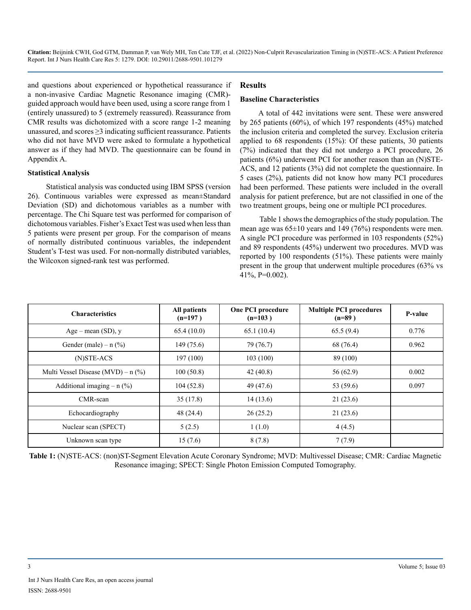and questions about experienced or hypothetical reassurance if a non-invasive Cardiac Magnetic Resonance imaging (CMR) guided approach would have been used, using a score range from 1 (entirely unassured) to 5 (extremely reassured). Reassurance from CMR results was dichotomized with a score range 1-2 meaning unassured, and scores ≥3 indicating sufficient reassurance. Patients who did not have MVD were asked to formulate a hypothetical answer as if they had MVD. The questionnaire can be found in Appendix A.

#### **Statistical Analysis**

Statistical analysis was conducted using IBM SPSS (version 26). Continuous variables were expressed as mean±Standard Deviation (SD) and dichotomous variables as a number with percentage. The Chi Square test was performed for comparison of dichotomous variables. Fisher's Exact Test was used when less than 5 patients were present per group. For the comparison of means of normally distributed continuous variables, the independent Student's T-test was used. For non-normally distributed variables, the Wilcoxon signed-rank test was performed.

### **Results**

#### **Baseline Characteristics**

A total of 442 invitations were sent. These were answered by 265 patients (60%), of which 197 respondents (45%) matched the inclusion criteria and completed the survey. Exclusion criteria applied to 68 respondents (15%): Of these patients, 30 patients (7%) indicated that they did not undergo a PCI procedure, 26 patients (6%) underwent PCI for another reason than an (N)STE-ACS, and 12 patients (3%) did not complete the questionnaire. In 5 cases (2%), patients did not know how many PCI procedures had been performed. These patients were included in the overall analysis for patient preference, but are not classified in one of the two treatment groups, being one or multiple PCI procedures.

 Table 1 shows the demographics of the study population. The mean age was  $65\pm10$  years and 149 (76%) respondents were men. A single PCI procedure was performed in 103 respondents (52%) and 89 respondents (45%) underwent two procedures. MVD was reported by 100 respondents (51%). These patients were mainly present in the group that underwent multiple procedures (63% vs 41%, P=0.002).

| <b>Characteristics</b>               | All patients<br>$(n=197)$ | <b>One PCI procedure</b><br>$(n=103)$ | <b>Multiple PCI procedures</b><br>$(n=89)$ | P-value |
|--------------------------------------|---------------------------|---------------------------------------|--------------------------------------------|---------|
| $Age - mean (SD)$ , y                | 65.4(10.0)                | 65.1(10.4)                            | 65.5(9.4)                                  | 0.776   |
| Gender (male) – $n$ (%)              | 149(75.6)                 | 79 (76.7)                             | 68 (76.4)                                  | 0.962   |
| $(N)$ STE-ACS                        | 197(100)                  | 103(100)                              | 89 (100)                                   |         |
| Multi Vessel Disease (MVD) – $n$ (%) | 100(50.8)                 | 42(40.8)                              | 56 (62.9)                                  | 0.002   |
| Additional imaging $- n$ (%)         | 104(52.8)                 | 49 (47.6)                             | 53 (59.6)                                  | 0.097   |
| CMR-scan                             | 35(17.8)                  | 14(13.6)                              | 21(23.6)                                   |         |
| Echocardiography                     | 48 (24.4)                 | 26(25.2)                              | 21(23.6)                                   |         |
| Nuclear scan (SPECT)                 | 5(2.5)                    | 1(1.0)                                | 4(4.5)                                     |         |
| Unknown scan type                    | 15(7.6)                   | 8(7.8)                                | 7(7.9)                                     |         |

**Table 1:** (N)STE-ACS: (non)ST-Segment Elevation Acute Coronary Syndrome; MVD: Multivessel Disease; CMR: Cardiac Magnetic Resonance imaging; SPECT: Single Photon Emission Computed Tomography.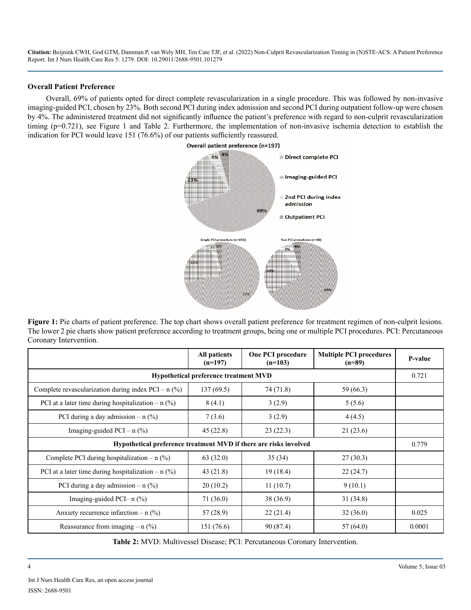#### **Overall Patient Preference**

Overall, 69% of patients opted for direct complete revascularization in a single procedure. This was followed by non-invasive imaging-guided PCI, chosen by 23%. Both second PCI during index admission and second PCI during outpatient follow-up were chosen by 4%. The administered treatment did not significantly influence the patient's preference with regard to non-culprit revascularization timing (p=0.721), see Figure 1 and Table 2. Furthermore, the implementation of non-invasive ischemia detection to establish the indication for PCI would leave 151 (76.6%) of our patients sufficiently reassured.



Figure 1: Pie charts of patient preference. The top chart shows overall patient preference for treatment regimen of non-culprit lesions. The lower 2 pie charts show patient preference according to treatment groups, being one or multiple PCI procedures. PCI: Percutaneous Coronary Intervention.

|                                                                   | All patients<br>$(n=197)$ | One PCI procedure<br>$(n=103)$ | <b>Multiple PCI procedures</b><br>$(n=89)$ | P-value |  |
|-------------------------------------------------------------------|---------------------------|--------------------------------|--------------------------------------------|---------|--|
| <b>Hypothetical preference treatment MVD</b>                      |                           |                                |                                            |         |  |
| Complete revascularization during index PCI – $n$ (%)             | 137(69.5)                 | 74 (71.8)                      | 59 (66.3)                                  |         |  |
| PCI at a later time during hospitalization – $n$ (%)              | 8(4.1)                    | 3(2.9)                         | 5(5.6)                                     |         |  |
| PCI during a day admission – $n$ (%)                              | 7(3.6)                    | 3(2.9)                         | 4(4.5)                                     |         |  |
| Imaging-guided PCI – $n$ (%)                                      | 45(22.8)                  | 23(22.3)                       | 21(23.6)                                   |         |  |
| Hypothetical preference treatment MVD if there are risks involved |                           |                                |                                            |         |  |
| Complete PCI during hospitalization – $n$ (%)                     | 63(32.0)                  | 35(34)                         | 27(30.3)                                   |         |  |
| PCI at a later time during hospitalization – $n$ (%)              | 43(21.8)                  | 19(18.4)                       | 22(24.7)                                   |         |  |
| PCI during a day admission $-$ n $(\%)$                           | 20(10.2)                  | 11(10.7)                       | 9(10.1)                                    |         |  |
| Imaging-guided PCI- $n$ $\frac{9}{6}$                             | 71 (36.0)                 | 38 (36.9)                      | 31(34.8)                                   |         |  |
| Anxiety recurrence infarction – $n$ (%)                           | 57 (28.9)                 | 22(21.4)                       | 32(36.0)                                   | 0.025   |  |
| Reassurance from imaging $- n$ (%)                                | 151 (76.6)                | 90 (87.4)                      | 57(64.0)                                   | 0.0001  |  |

**Table 2:** MVD: Multivessel Disease; PCI: Percutaneous Coronary Intervention.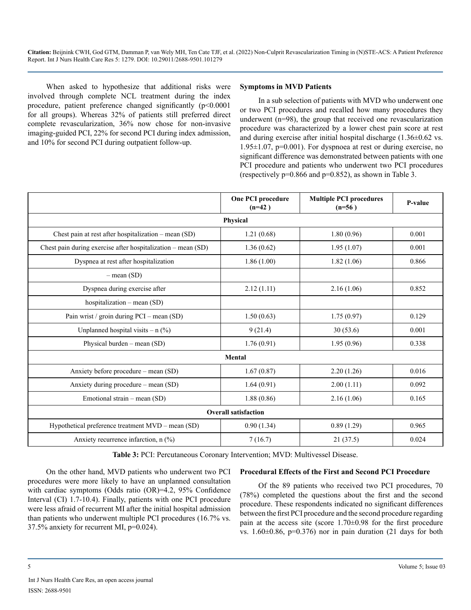When asked to hypothesize that additional risks were involved through complete NCL treatment during the index procedure, patient preference changed significantly (p<0.0001 for all groups). Whereas 32% of patients still preferred direct complete revascularization, 36% now chose for non-invasive imaging-guided PCI, 22% for second PCI during index admission, and 10% for second PCI during outpatient follow-up.

#### **Symptoms in MVD Patients**

In a sub selection of patients with MVD who underwent one or two PCI procedures and recalled how many procedures they underwent (n=98), the group that received one revascularization procedure was characterized by a lower chest pain score at rest and during exercise after initial hospital discharge  $(1.36\pm0.62 \text{ vs.})$ 1.95±1.07, p=0.001). For dyspnoea at rest or during exercise, no significant difference was demonstrated between patients with one PCI procedure and patients who underwent two PCI procedures (respectively  $p=0.866$  and  $p=0.852$ ), as shown in Table 3.

|                                                              | One PCI procedure<br>$(n=42)$ | <b>Multiple PCI procedures</b><br>$(n=56)$ | P-value |  |  |  |
|--------------------------------------------------------------|-------------------------------|--------------------------------------------|---------|--|--|--|
| Physical                                                     |                               |                                            |         |  |  |  |
| Chest pain at rest after hospitalization – mean (SD)         | 1.21(0.68)                    | 1.80(0.96)                                 | 0.001   |  |  |  |
| Chest pain during exercise after hospitalization – mean (SD) | 1.36(0.62)                    | 1.95(1.07)                                 | 0.001   |  |  |  |
| Dyspnea at rest after hospitalization                        | 1.86(1.00)                    | 1.82(1.06)                                 | 0.866   |  |  |  |
| $-$ mean (SD)                                                |                               |                                            |         |  |  |  |
| Dyspnea during exercise after                                | 2.12(1.11)                    | 2.16(1.06)                                 | 0.852   |  |  |  |
| hospitalization – mean $(SD)$                                |                               |                                            |         |  |  |  |
| Pain wrist / groin during PCI – mean (SD)                    | 1.50(0.63)                    | 1.75(0.97)                                 | 0.129   |  |  |  |
| Unplanned hospital visits $- n$ (%)                          | 9(21.4)                       | 30(53.6)                                   | 0.001   |  |  |  |
| Physical burden – mean $(SD)$                                | 1.76(0.91)                    | 1.95(0.96)                                 | 0.338   |  |  |  |
| <b>Mental</b>                                                |                               |                                            |         |  |  |  |
| Anxiety before procedure – mean $(SD)$                       | 1.67(0.87)                    | 2.20(1.26)                                 | 0.016   |  |  |  |
| Anxiety during procedure – mean (SD)                         | 1.64(0.91)                    | 2.00(1.11)                                 | 0.092   |  |  |  |
| Emotional strain – mean (SD)                                 | 1.88(0.86)                    | 2.16(1.06)                                 | 0.165   |  |  |  |
| <b>Overall satisfaction</b>                                  |                               |                                            |         |  |  |  |
| Hypothetical preference treatment MVD – mean (SD)            | 0.90(1.34)                    | 0.89(1.29)                                 | 0.965   |  |  |  |
| Anxiety recurrence infarction, $n$ (%)                       | 7(16.7)                       | 21(37.5)                                   | 0.024   |  |  |  |

**Table 3:** PCI: Percutaneous Coronary Intervention; MVD: Multivessel Disease.

On the other hand, MVD patients who underwent two PCI procedures were more likely to have an unplanned consultation with cardiac symptoms (Odds ratio (OR)=4.2, 95% Confidence Interval (CI) 1.7-10.4). Finally, patients with one PCI procedure were less afraid of recurrent MI after the initial hospital admission than patients who underwent multiple PCI procedures (16.7% vs. 37.5% anxiety for recurrent MI, p=0.024).

#### **Procedural Effects of the First and Second PCI Procedure**

Of the 89 patients who received two PCI procedures, 70 (78%) completed the questions about the first and the second procedure. These respondents indicated no significant differences between the first PCI procedure and the second procedure regarding pain at the access site (score 1.70±0.98 for the first procedure vs.  $1.60\pm0.86$ , p=0.376) nor in pain duration (21 days for both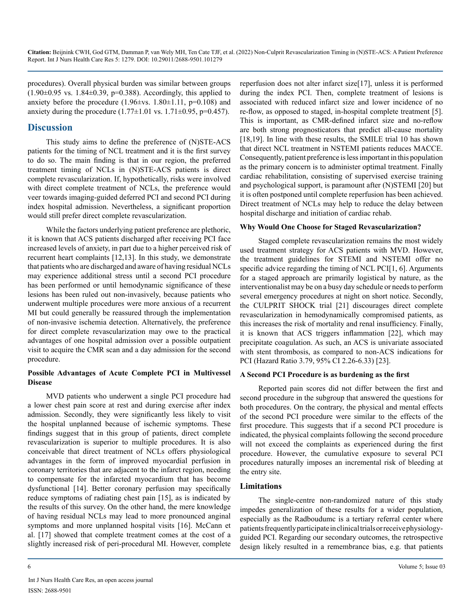procedures). Overall physical burden was similar between groups  $(1.90\pm0.95 \text{ vs. } 1.84\pm0.39, \text{ p=}0.388)$ . Accordingly, this applied to anxiety before the procedure  $(1.96\pm vs. 1.80\pm 1.11, p=0.108)$  and anxiety during the procedure  $(1.77 \pm 1.01 \text{ vs. } 1.71 \pm 0.95, \text{ p=0.457}).$ 

# **Discussion**

This study aims to define the preference of (N)STE-ACS patients for the timing of NCL treatment and it is the first survey to do so. The main finding is that in our region, the preferred treatment timing of NCLs in (N)STE-ACS patients is direct complete revascularization. If, hypothetically, risks were involved with direct complete treatment of NCLs, the preference would veer towards imaging-guided deferred PCI and second PCI during index hospital admission. Nevertheless, a significant proportion would still prefer direct complete revascularization.

While the factors underlying patient preference are plethoric, it is known that ACS patients discharged after receiving PCI face increased levels of anxiety, in part due to a higher perceived risk of recurrent heart complaints [12,13]. In this study, we demonstrate that patients who are discharged and aware of having residual NCLs may experience additional stress until a second PCI procedure has been performed or until hemodynamic significance of these lesions has been ruled out non-invasively, because patients who underwent multiple procedures were more anxious of a recurrent MI but could generally be reassured through the implementation of non-invasive ischemia detection. Alternatively, the preference for direct complete revascularization may owe to the practical advantages of one hospital admission over a possible outpatient visit to acquire the CMR scan and a day admission for the second procedure.

### **Possible Advantages of Acute Complete PCI in Multivessel Disease**

MVD patients who underwent a single PCI procedure had a lower chest pain score at rest and during exercise after index admission. Secondly, they were significantly less likely to visit the hospital unplanned because of ischemic symptoms. These findings suggest that in this group of patients, direct complete revascularization is superior to multiple procedures. It is also conceivable that direct treatment of NCLs offers physiological advantages in the form of improved myocardial perfusion in coronary territories that are adjacent to the infarct region, needing to compensate for the infarcted myocardium that has become dysfunctional [14]. Better coronary perfusion may specifically reduce symptoms of radiating chest pain [15], as is indicated by the results of this survey. On the other hand, the mere knowledge of having residual NCLs may lead to more pronounced anginal symptoms and more unplanned hospital visits [16]. McCann et al. [17] showed that complete treatment comes at the cost of a slightly increased risk of peri-procedural MI. However, complete

reperfusion does not alter infarct size[17], unless it is performed during the index PCI. Then, complete treatment of lesions is associated with reduced infarct size and lower incidence of no re-flow, as opposed to staged, in-hospital complete treatment [5]. This is important, as CMR-defined infarct size and no-reflow are both strong prognosticators that predict all-cause mortality [18,19]. In line with these results, the SMILE trial 10 has shown that direct NCL treatment in NSTEMI patients reduces MACCE. Consequently, patient preference is less important in this population as the primary concern is to administer optimal treatment. Finally cardiac rehabilitation, consisting of supervised exercise training and psychological support, is paramount after (N)STEMI [20] but it is often postponed until complete reperfusion has been achieved. Direct treatment of NCLs may help to reduce the delay between hospital discharge and initiation of cardiac rehab.

# **Why Would One Choose for Staged Revascularization?**

Staged complete revascularization remains the most widely used treatment strategy for ACS patients with MVD. However, the treatment guidelines for STEMI and NSTEMI offer no specific advice regarding the timing of NCL PCI[1, 6]. Arguments for a staged approach are primarily logistical by nature, as the interventionalist may be on a busy day schedule or needs to perform several emergency procedures at night on short notice. Secondly, the CULPRIT SHOCK trial [21] discourages direct complete revascularization in hemodynamically compromised patients, as this increases the risk of mortality and renal insufficiency. Finally, it is known that ACS triggers inflammation [22], which may precipitate coagulation. As such, an ACS is univariate associated with stent thrombosis, as compared to non-ACS indications for PCI (Hazard Ratio 3.79, 95% CI 2.26-6.33) [23].

#### **A Second PCI Procedure is as burdening as the first**

Reported pain scores did not differ between the first and second procedure in the subgroup that answered the questions for both procedures. On the contrary, the physical and mental effects of the second PCI procedure were similar to the effects of the first procedure. This suggests that if a second PCI procedure is indicated, the physical complaints following the second procedure will not exceed the complaints as experienced during the first procedure. However, the cumulative exposure to several PCI procedures naturally imposes an incremental risk of bleeding at the entry site.

# **Limitations**

The single-centre non-randomized nature of this study impedes generalization of these results for a wider population, especially as the Radboudumc is a tertiary referral center where patients frequently participate in clinical trials or receive physiologyguided PCI. Regarding our secondary outcomes, the retrospective design likely resulted in a remembrance bias, e.g. that patients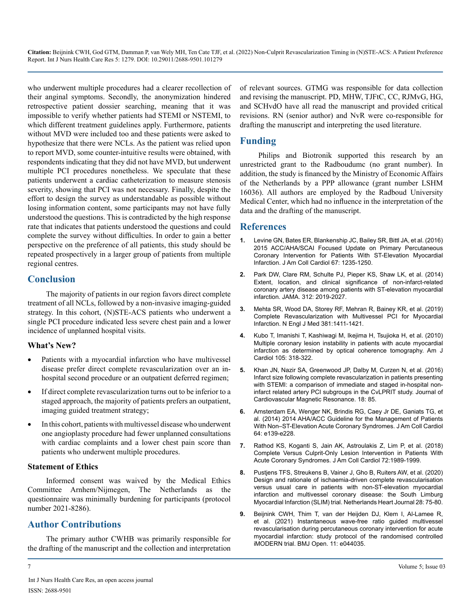who underwent multiple procedures had a clearer recollection of their anginal symptoms. Secondly, the anonymization hindered retrospective patient dossier searching, meaning that it was impossible to verify whether patients had STEMI or NSTEMI, to which different treatment guidelines apply. Furthermore, patients without MVD were included too and these patients were asked to hypothesize that there were NCLs. As the patient was relied upon to report MVD, some counter-intuitive results were obtained, with respondents indicating that they did not have MVD, but underwent multiple PCI procedures nonetheless. We speculate that these patients underwent a cardiac catheterization to measure stenosis severity, showing that PCI was not necessary. Finally, despite the effort to design the survey as understandable as possible without losing information content, some participants may not have fully understood the questions. This is contradicted by the high response rate that indicates that patients understood the questions and could complete the survey without difficulties. In order to gain a better perspective on the preference of all patients, this study should be repeated prospectively in a larger group of patients from multiple regional centres.

# **Conclusion**

The majority of patients in our region favors direct complete treatment of all NCLs, followed by a non-invasive imaging-guided strategy. In this cohort, (N)STE-ACS patients who underwent a single PCI procedure indicated less severe chest pain and a lower incidence of unplanned hospital visits.

#### **What's New?**

- Patients with a myocardial infarction who have multivessel disease prefer direct complete revascularization over an inhospital second procedure or an outpatient deferred regimen;
- If direct complete revascularization turns out to be inferior to a staged approach, the majority of patients prefers an outpatient, imaging guided treatment strategy;
- In this cohort, patients with multivessel disease who underwent one angioplasty procedure had fewer unplanned consultations with cardiac complaints and a lower chest pain score than patients who underwent multiple procedures.

# **Statement of Ethics**

Informed consent was waived by the Medical Ethics Committee Arnhem/Nijmegen, The Netherlands as the questionnaire was minimally burdening for participants (protocol number 2021-8286).

# **Author Contributions**

The primary author CWHB was primarily responsible for the drafting of the manuscript and the collection and interpretation

of relevant sources. GTMG was responsible for data collection and revising the manuscript. PD, MHW, TJFtC, CC, RJMvG, HG, and SCHvdO have all read the manuscript and provided critical revisions. RN (senior author) and NvR were co-responsible for drafting the manuscript and interpreting the used literature.

# **Funding**

Philips and Biotronik supported this research by an unrestricted grant to the Radboudumc (no grant number). In addition, the study is financed by the Ministry of Economic Affairs of the Netherlands by a PPP allowance (grant number LSHM 16036). All authors are employed by the Radboud University Medical Center, which had no influence in the interpretation of the data and the drafting of the manuscript.

# **References**

- **1.** [Levine GN, Bates ER, Blankenship JC, Bailey SR, Bittl JA, et al. \(2016\)](https://pubmed.ncbi.nlm.nih.gov/26498666/)  [2015 ACC/AHA/SCAI Focused Update on Primary Percutaneous](https://pubmed.ncbi.nlm.nih.gov/26498666/)  [Coronary Intervention for Patients With ST-Elevation Myocardial](https://pubmed.ncbi.nlm.nih.gov/26498666/)  [Infarction. J Am Coll Cardiol 67: 1235-1250.](https://pubmed.ncbi.nlm.nih.gov/26498666/)
- **2.** [Park DW, Clare RM, Schulte PJ, Pieper KS, Shaw LK, et al. \(2014\)](https://jamanetwork.com/journals/jama/fullarticle/1935121) [Extent, location, and clinical significance of non-infarct-related](https://jamanetwork.com/journals/jama/fullarticle/1935121)  [coronary artery disease among patients with ST-elevation myocardial](https://jamanetwork.com/journals/jama/fullarticle/1935121)  [infarction. JAMA. 312: 2019-2027.](https://jamanetwork.com/journals/jama/fullarticle/1935121)
- **3.** [Mehta SR, Wood DA, Storey RF, Mehran R, Bainey KR, et al. \(2019\)](https://www.nejm.org/doi/full/10.1056/NEJMoa1907775)  [Complete Revascularization with Multivessel PCI for Myocardial](https://www.nejm.org/doi/full/10.1056/NEJMoa1907775)  [Infarction. N Engl J Med 381:1411-1421.](https://www.nejm.org/doi/full/10.1056/NEJMoa1907775)
- **4.** [Kubo T, Imanishi T, Kashiwagi M, Ikejima H, Tsujioka H, et al. \(2010\)](https://pubmed.ncbi.nlm.nih.gov/20102942/)  [Multiple coronary lesion instability in patients with acute myocardial](https://pubmed.ncbi.nlm.nih.gov/20102942/)  [infarction as determined by optical coherence tomography. Am J](https://pubmed.ncbi.nlm.nih.gov/20102942/)  [Cardiol 105: 318-322.](https://pubmed.ncbi.nlm.nih.gov/20102942/)
- **5.** [Khan JN, Nazir SA, Greenwood JP, Dalby M, Curzen N, et al. \(2016\)](https://jcmr-online.biomedcentral.com/articles/10.1186/s12968-016-0298-2)  [Infarct size following complete revascularization in patients presenting](https://jcmr-online.biomedcentral.com/articles/10.1186/s12968-016-0298-2)  [with STEMI: a comparison of immediate and staged in-hospital non](https://jcmr-online.biomedcentral.com/articles/10.1186/s12968-016-0298-2)[infarct related artery PCI subgroups in the CvLPRIT study. Journal of](https://jcmr-online.biomedcentral.com/articles/10.1186/s12968-016-0298-2)  [Cardiovascular Magnetic Resonance. 18: 85.](https://jcmr-online.biomedcentral.com/articles/10.1186/s12968-016-0298-2)
- **6.** [Amsterdam EA, Wenger NK, Brindis RG, Caey Jr DE, Ganiats TG, et](https://pubmed.ncbi.nlm.nih.gov/25260718/)  [al. \(2014\) 2014 AHA/ACC Guideline for the Management of Patients](https://pubmed.ncbi.nlm.nih.gov/25260718/)  [With Non–ST-Elevation Acute Coronary Syndromes. J Am Coll Cardiol](https://pubmed.ncbi.nlm.nih.gov/25260718/)  [64: e139-e228.](https://pubmed.ncbi.nlm.nih.gov/25260718/)
- **7.** [Rathod KS, Koganti S, Jain AK, Astroulakis Z, Lim P, et al. \(2018\)](https://pubmed.ncbi.nlm.nih.gov/30336821/)  [Complete Versus Culprit-Only Lesion Intervention in Patients With](https://pubmed.ncbi.nlm.nih.gov/30336821/)  [Acute Coronary Syndromes. J Am Coll Cardiol 72:1989-1999.](https://pubmed.ncbi.nlm.nih.gov/30336821/)
- **8.** [Pustjens TFS, Streukens B, Vainer J, Gho B, Ruiters AW, et al. \(2020\)](https://jglobal.jst.go.jp/en/detail?JGLOBAL_ID=202002250550089368)  [Design and rationale of ischaemia-driven complete revascularisation](https://jglobal.jst.go.jp/en/detail?JGLOBAL_ID=202002250550089368)  [versus usual care in patients with non-ST-elevation myocardial](https://jglobal.jst.go.jp/en/detail?JGLOBAL_ID=202002250550089368)  [infarction and multivessel coronary disease: the South Limburg](https://jglobal.jst.go.jp/en/detail?JGLOBAL_ID=202002250550089368)  [Myocardial Infarction \(SLIM\) trial. Netherlands Heart Journal 28: 75-80.](https://jglobal.jst.go.jp/en/detail?JGLOBAL_ID=202002250550089368)
- **9.** [Beijnink CWH, Thim T, van der Heijden DJ, Klem I, Al-Lamee R,](https://pubmed.ncbi.nlm.nih.gov/33452200/)  [et al. \(2021\) Instantaneous wave-free ratio guided multivessel](https://pubmed.ncbi.nlm.nih.gov/33452200/)  [revascularisation during percutaneous coronary intervention for acute](https://pubmed.ncbi.nlm.nih.gov/33452200/)  [myocardial infarction: study protocol of the randomised controlled](https://pubmed.ncbi.nlm.nih.gov/33452200/)  [iMODERN trial. BMJ Open. 11: e044035.](https://pubmed.ncbi.nlm.nih.gov/33452200/)